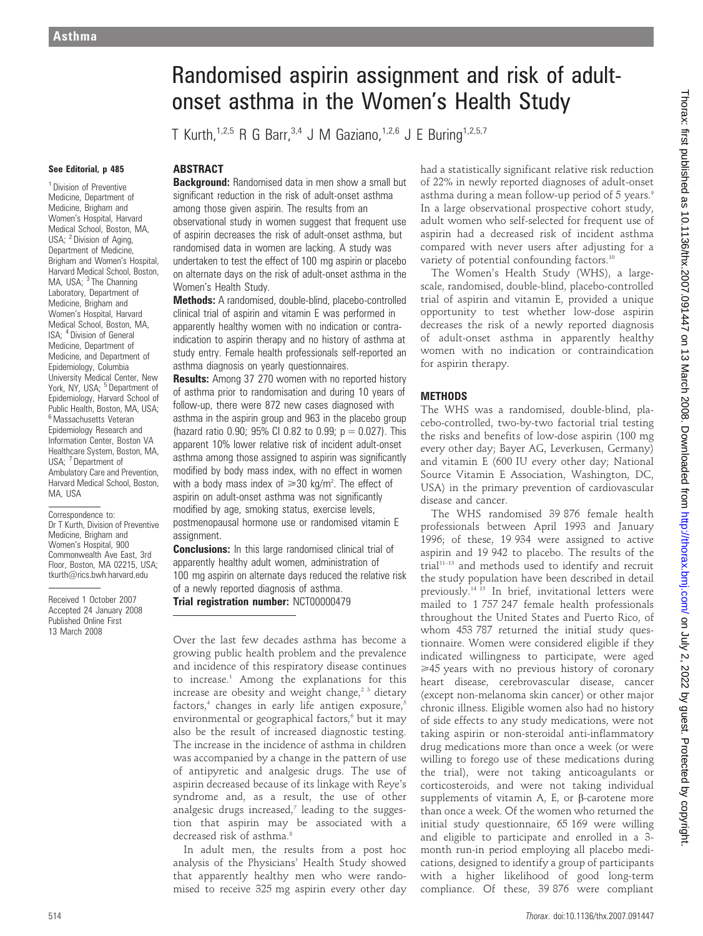# See Editorial, p 485

<sup>1</sup> Division of Preventive Medicine, Department of Medicine, Brigham and Women's Hospital, Harvard Medical School, Boston, MA, USA; <sup>2</sup> Division of Aging, Department of Medicine. Brigham and Women's Hospital, Harvard Medical School, Boston, MA, USA; <sup>3</sup> The Channing Laboratory, Department of Medicine, Brigham and Women's Hospital, Harvard Medical School, Boston, MA, ISA; <sup>4</sup> Division of General Medicine, Department of Medicine, and Department of Epidemiology, Columbia University Medical Center, New York, NY, USA; <sup>5</sup> Department of Epidemiology, Harvard School of Public Health, Boston, MA, USA; <sup>6</sup> Massachusetts Veteran Epidemiology Research and Information Center, Boston VA Healthcare System, Boston, MA, USA; 7 Department of Ambulatory Care and Prevention, Harvard Medical School, Boston, MA, USA

Correspondence to: Dr T Kurth, Division of Preventive Medicine, Brigham and Women's Hospital, 900 Commonwealth Ave East, 3rd Floor, Boston, MA 02215, USA; tkurth@rics.bwh.harvard.edu

Received 1 October 2007 Accepted 24 January 2008 Published Online First 13 March 2008

# Randomised aspirin assignment and risk of adultonset asthma in the Women's Health Study

T Kurth,<sup>1,2,5</sup> R G Barr,<sup>3,4</sup> J M Gaziano,<sup>1,2,6</sup> J E Buring<sup>1,2,5,7</sup>

#### ABSTRACT

**Background:** Randomised data in men show a small but significant reduction in the risk of adult-onset asthma among those given aspirin. The results from an observational study in women suggest that frequent use of aspirin decreases the risk of adult-onset asthma, but randomised data in women are lacking. A study was undertaken to test the effect of 100 mg aspirin or placebo on alternate days on the risk of adult-onset asthma in the Women's Health Study.

Methods: A randomised, double-blind, placebo-controlled clinical trial of aspirin and vitamin E was performed in apparently healthy women with no indication or contraindication to aspirin therapy and no history of asthma at study entry. Female health professionals self-reported an asthma diagnosis on yearly questionnaires.

**Results:** Among 37 270 women with no reported history of asthma prior to randomisation and during 10 years of follow-up, there were 872 new cases diagnosed with asthma in the aspirin group and 963 in the placebo group (hazard ratio 0.90; 95% CI 0.82 to 0.99;  $p = 0.027$ ). This apparent 10% lower relative risk of incident adult-onset asthma among those assigned to aspirin was significantly modified by body mass index, with no effect in women with a body mass index of  $\geq 30$  kg/m<sup>2</sup>. The effect of aspirin on adult-onset asthma was not significantly modified by age, smoking status, exercise levels, postmenopausal hormone use or randomised vitamin E assignment.

**Conclusions:** In this large randomised clinical trial of apparently healthy adult women, administration of 100 mg aspirin on alternate days reduced the relative risk of a newly reported diagnosis of asthma. Trial registration number: NCT00000479

Over the last few decades asthma has become a growing public health problem and the prevalence and incidence of this respiratory disease continues to increase.<sup>1</sup> Among the explanations for this increase are obesity and weight change,<sup>23</sup> dietary factors,<sup>4</sup> changes in early life antigen exposure,<sup>5</sup> environmental or geographical factors,<sup>6</sup> but it may also be the result of increased diagnostic testing. The increase in the incidence of asthma in children was accompanied by a change in the pattern of use of antipyretic and analgesic drugs. The use of aspirin decreased because of its linkage with Reye's syndrome and, as a result, the use of other analgesic drugs increased, $7$  leading to the suggestion that aspirin may be associated with a decreased risk of asthma.<sup>8</sup>

In adult men, the results from a post hoc analysis of the Physicians' Health Study showed that apparently healthy men who were randomised to receive 325 mg aspirin every other day had a statistically significant relative risk reduction of 22% in newly reported diagnoses of adult-onset asthma during a mean follow-up period of 5 years.<sup>9</sup> In a large observational prospective cohort study, adult women who self-selected for frequent use of aspirin had a decreased risk of incident asthma compared with never users after adjusting for a variety of potential confounding factors.<sup>10</sup>

The Women's Health Study (WHS), a largescale, randomised, double-blind, placebo-controlled trial of aspirin and vitamin E, provided a unique opportunity to test whether low-dose aspirin decreases the risk of a newly reported diagnosis of adult-onset asthma in apparently healthy women with no indication or contraindication for aspirin therapy.

#### **METHODS**

The WHS was a randomised, double-blind, placebo-controlled, two-by-two factorial trial testing the risks and benefits of low-dose aspirin (100 mg every other day; Bayer AG, Leverkusen, Germany) and vitamin E (600 IU every other day; National Source Vitamin E Association, Washington, DC, USA) in the primary prevention of cardiovascular disease and cancer.

The WHS randomised 39 876 female health professionals between April 1993 and January 1996; of these, 19 934 were assigned to active aspirin and 19 942 to placebo. The results of the trial<sup>11-13</sup> and methods used to identify and recruit the study population have been described in detail previously.14 15 In brief, invitational letters were mailed to 1 757 247 female health professionals throughout the United States and Puerto Rico, of whom 453 787 returned the initial study questionnaire. Women were considered eligible if they indicated willingness to participate, were aged  $\geq$ 45 years with no previous history of coronary heart disease, cerebrovascular disease, cancer (except non-melanoma skin cancer) or other major chronic illness. Eligible women also had no history of side effects to any study medications, were not taking aspirin or non-steroidal anti-inflammatory drug medications more than once a week (or were willing to forego use of these medications during the trial), were not taking anticoagulants or corticosteroids, and were not taking individual supplements of vitamin A, E, or  $\beta$ -carotene more than once a week. Of the women who returned the initial study questionnaire, 65 169 were willing and eligible to participate and enrolled in a 3 month run-in period employing all placebo medications, designed to identify a group of participants with a higher likelihood of good long-term compliance. Of these, 39 876 were compliant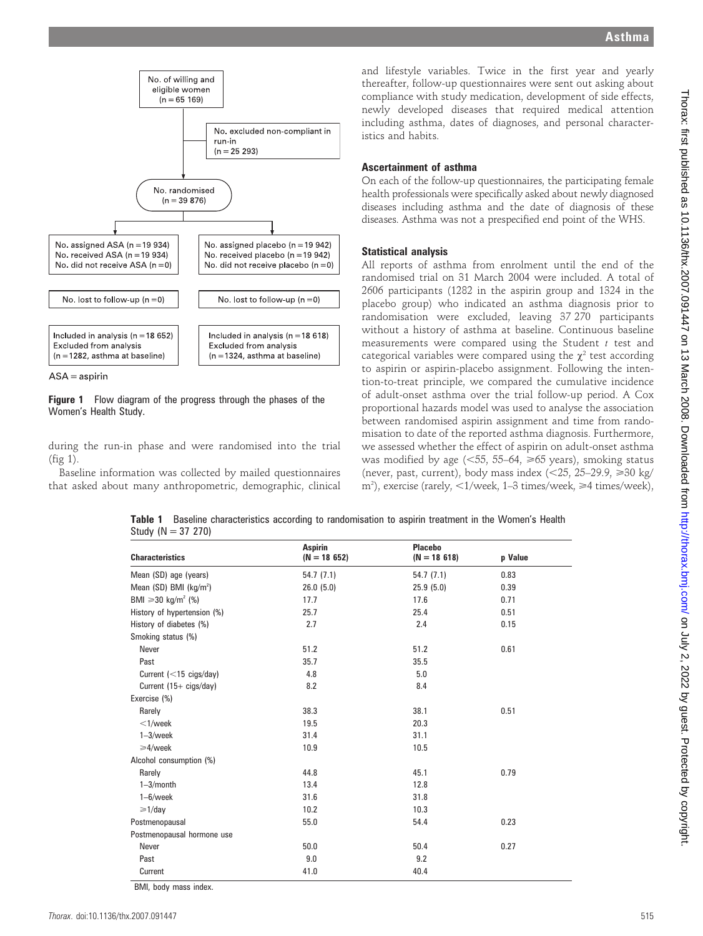

 $ASA =$ aspirin

Figure 1 Flow diagram of the progress through the phases of the Women's Health Study.

during the run-in phase and were randomised into the trial (fig 1).

Baseline information was collected by mailed questionnaires that asked about many anthropometric, demographic, clinical

and lifestyle variables. Twice in the first year and yearly thereafter, follow-up questionnaires were sent out asking about compliance with study medication, development of side effects, newly developed diseases that required medical attention including asthma, dates of diagnoses, and personal characteristics and habits.

#### Ascertainment of asthma

On each of the follow-up questionnaires, the participating female health professionals were specifically asked about newly diagnosed diseases including asthma and the date of diagnosis of these diseases. Asthma was not a prespecified end point of the WHS.

#### Statistical analysis

All reports of asthma from enrolment until the end of the randomised trial on 31 March 2004 were included. A total of 2606 participants (1282 in the aspirin group and 1324 in the placebo group) who indicated an asthma diagnosis prior to randomisation were excluded, leaving 37 270 participants without a history of asthma at baseline. Continuous baseline measurements were compared using the Student  $t$  test and categorical variables were compared using the  $\chi^2$  test according to aspirin or aspirin-placebo assignment. Following the intention-to-treat principle, we compared the cumulative incidence of adult-onset asthma over the trial follow-up period. A Cox proportional hazards model was used to analyse the association between randomised aspirin assignment and time from randomisation to date of the reported asthma diagnosis. Furthermore, we assessed whether the effect of aspirin on adult-onset asthma was modified by age ( $\leq 55$ , 55–64,  $\geq 65$  years), smoking status (never, past, current), body mass index  $\langle$  <25, 25–29.9,  $\geq$  30 kg/ m<sup>2</sup>), exercise (rarely, <1/week, 1–3 times/week, ≥4 times/week),

Table 1 Baseline characteristics according to randomisation to aspirin treatment in the Women's Health Study (N = 37 270)

| <b>Characteristics</b>           | <b>Aspirin</b><br>$(N = 18652)$ | <b>Placebo</b><br>$(N = 18618)$ | p Value |
|----------------------------------|---------------------------------|---------------------------------|---------|
| Mean (SD) age (years)            | 54.7(7.1)                       | 54.7(7.1)                       | 0.83    |
| Mean $(SD)$ BMI $(kq/m^2)$       | 26.0(5.0)                       | 25.9(5.0)                       | 0.39    |
| BMI $\geq 30 \text{ kg/m}^2$ (%) | 17.7                            | 17.6                            | 0.71    |
| History of hypertension (%)      | 25.7                            | 25.4                            | 0.51    |
| History of diabetes (%)          | 2.7                             | 2.4                             | 0.15    |
| Smoking status (%)               |                                 |                                 |         |
| Never                            | 51.2                            | 51.2                            | 0.61    |
| Past                             | 35.7                            | 35.5                            |         |
| Current $(<15 \text{ cigs/day})$ | 4.8                             | 5.0                             |         |
| Current (15+ cigs/day)           | 8.2                             | 8.4                             |         |
| Exercise (%)                     |                                 |                                 |         |
| Rarely                           | 38.3                            | 38.1                            | 0.51    |
| $<$ 1/week                       | 19.5                            | 20.3                            |         |
| $1 - 3$ /week                    | 31.4                            | 31.1                            |         |
| $\geq 4$ /week                   | 10.9                            | 10.5                            |         |
| Alcohol consumption (%)          |                                 |                                 |         |
| Rarely                           | 44.8                            | 45.1                            | 0.79    |
| $1 - 3$ /month                   | 13.4                            | 12.8                            |         |
| $1-6$ /week                      | 31.6                            | 31.8                            |         |
| $\geq 1$ /day                    | 10.2                            | 10.3                            |         |
| Postmenopausal                   | 55.0                            | 54.4                            | 0.23    |
| Postmenopausal hormone use       |                                 |                                 |         |
| Never                            | 50.0                            | 50.4                            | 0.27    |
| Past                             | 9.0                             | 9.2                             |         |
| Current                          | 41.0                            | 40.4                            |         |

BMI, body mass index.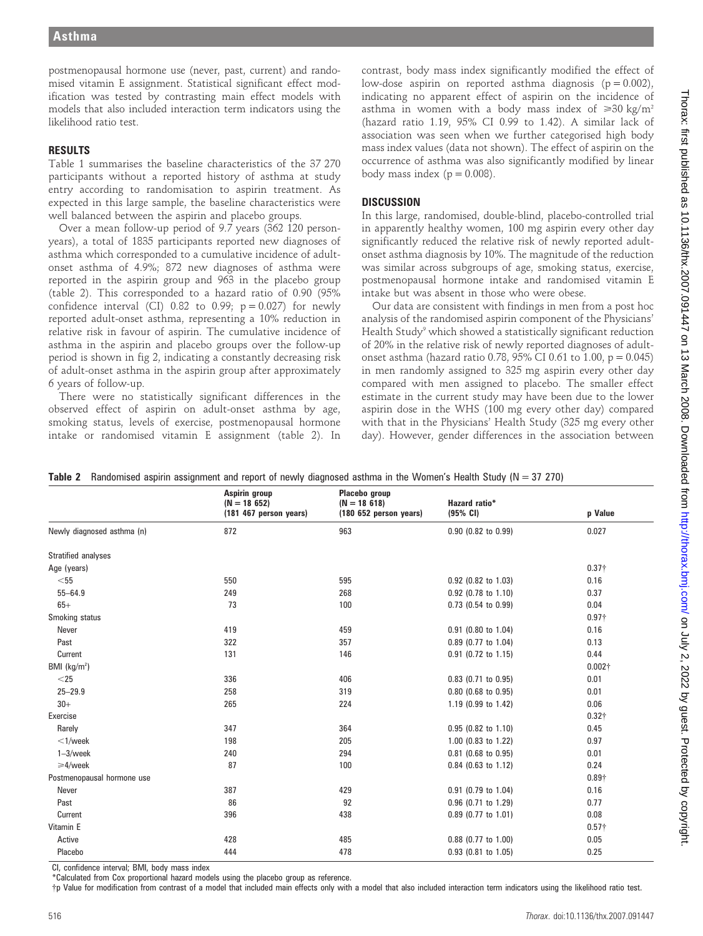postmenopausal hormone use (never, past, current) and randomised vitamin E assignment. Statistical significant effect modification was tested by contrasting main effect models with models that also included interaction term indicators using the likelihood ratio test.

## RESULTS

Table 1 summarises the baseline characteristics of the 37 270 participants without a reported history of asthma at study entry according to randomisation to aspirin treatment. As expected in this large sample, the baseline characteristics were well balanced between the aspirin and placebo groups.

Over a mean follow-up period of 9.7 years (362 120 personyears), a total of 1835 participants reported new diagnoses of asthma which corresponded to a cumulative incidence of adultonset asthma of 4.9%; 872 new diagnoses of asthma were reported in the aspirin group and 963 in the placebo group (table 2). This corresponded to a hazard ratio of 0.90 (95% confidence interval (CI) 0.82 to 0.99;  $p = 0.027$ ) for newly reported adult-onset asthma, representing a 10% reduction in relative risk in favour of aspirin. The cumulative incidence of asthma in the aspirin and placebo groups over the follow-up period is shown in fig 2, indicating a constantly decreasing risk of adult-onset asthma in the aspirin group after approximately 6 years of follow-up.

There were no statistically significant differences in the observed effect of aspirin on adult-onset asthma by age, smoking status, levels of exercise, postmenopausal hormone intake or randomised vitamin E assignment (table 2). In

contrast, body mass index significantly modified the effect of low-dose aspirin on reported asthma diagnosis  $(p = 0.002)$ , indicating no apparent effect of aspirin on the incidence of asthma in women with a body mass index of  $\geq 30 \text{ kg/m}^2$ (hazard ratio 1.19, 95% CI 0.99 to 1.42). A similar lack of association was seen when we further categorised high body mass index values (data not shown). The effect of aspirin on the occurrence of asthma was also significantly modified by linear body mass index ( $p = 0.008$ ).

## **DISCUSSION**

In this large, randomised, double-blind, placebo-controlled trial in apparently healthy women, 100 mg aspirin every other day significantly reduced the relative risk of newly reported adultonset asthma diagnosis by 10%. The magnitude of the reduction was similar across subgroups of age, smoking status, exercise, postmenopausal hormone intake and randomised vitamin E intake but was absent in those who were obese.

Our data are consistent with findings in men from a post hoc analysis of the randomised aspirin component of the Physicians' Health Study<sup>9</sup> which showed a statistically significant reduction of 20% in the relative risk of newly reported diagnoses of adultonset asthma (hazard ratio 0.78, 95% CI 0.61 to 1.00,  $p = 0.045$ ) in men randomly assigned to 325 mg aspirin every other day compared with men assigned to placebo. The smaller effect estimate in the current study may have been due to the lower aspirin dose in the WHS (100 mg every other day) compared with that in the Physicians' Health Study (325 mg every other day). However, gender differences in the association between

|                            | Aspirin group<br>$(N = 18652)$<br>(181 467 person years) | Placebo group<br>$(N = 18618)$<br>$(180 652$ person years) | <b>Hazard ratio*</b><br>(95% CI) | p Value        |
|----------------------------|----------------------------------------------------------|------------------------------------------------------------|----------------------------------|----------------|
| Newly diagnosed asthma (n) | 872                                                      | 963                                                        | $0.90$ (0.82 to 0.99)            | 0.027          |
| <b>Stratified analyses</b> |                                                          |                                                            |                                  |                |
| Age (years)                |                                                          |                                                            |                                  | $0.37 +$       |
| $<$ 55                     | 550                                                      | 595                                                        | 0.92 (0.82 to 1.03)              | 0.16           |
| $55 - 64.9$                | 249                                                      | 268                                                        | 0.92 (0.78 to 1.10)              | 0.37           |
| $65+$                      | 73                                                       | 100                                                        | 0.73 (0.54 to 0.99)              | 0.04           |
| Smoking status             |                                                          |                                                            |                                  | $0.97\dagger$  |
| Never                      | 419                                                      | 459                                                        | 0.91 (0.80 to 1.04)              | 0.16           |
| Past                       | 322                                                      | 357                                                        | 0.89 (0.77 to 1.04)              | 0.13           |
| Current                    | 131                                                      | 146                                                        | 0.91 (0.72 to 1.15)              | 0.44           |
| BMI ( $kg/m2$ )            |                                                          |                                                            |                                  | $0.002\dagger$ |
| $<$ 25                     | 336                                                      | 406                                                        | $0.83$ (0.71 to 0.95)            | 0.01           |
| $25 - 29.9$                | 258                                                      | 319                                                        | $0.80$ (0.68 to 0.95)            | 0.01           |
| $30+$                      | 265                                                      | 224                                                        | 1.19 (0.99 to 1.42)              | 0.06           |
| Exercise                   |                                                          |                                                            |                                  | $0.32\dagger$  |
| Rarely                     | 347                                                      | 364                                                        | 0.95 (0.82 to 1.10)              | 0.45           |
| $<$ 1/week                 | 198                                                      | 205                                                        | 1.00 (0.83 to 1.22)              | 0.97           |
| $1-3$ /week                | 240                                                      | 294                                                        | $0.81$ (0.68 to 0.95)            | 0.01           |
| $\geq 4$ /week             | 87                                                       | 100                                                        | 0.84 (0.63 to 1.12)              | 0.24           |
| Postmenopausal hormone use |                                                          |                                                            |                                  | $0.89\dagger$  |
| Never                      | 387                                                      | 429                                                        | 0.91 (0.79 to 1.04)              | 0.16           |
| Past                       | 86                                                       | 92                                                         | 0.96 (0.71 to 1.29)              | 0.77           |
| Current                    | 396                                                      | 438                                                        | 0.89 (0.77 to 1.01)              | 0.08           |
| Vitamin E                  |                                                          |                                                            |                                  | $0.57\dagger$  |
| Active                     | 428                                                      | 485                                                        | 0.88 (0.77 to 1.00)              | 0.05           |
| Placebo                    | 444                                                      | 478                                                        | 0.93 (0.81 to 1.05)              | 0.25           |

Table 2 Randomised aspirin assignment and report of newly diagnosed asthma in the Women's Health Study ( $N = 37,270$ )

CI, confidence interval; BMI, body mass index

\*Calculated from Cox proportional hazard models using the placebo group as reference.

{p Value for modification from contrast of a model that included main effects only with a model that also included interaction term indicators using the likelihood ratio test.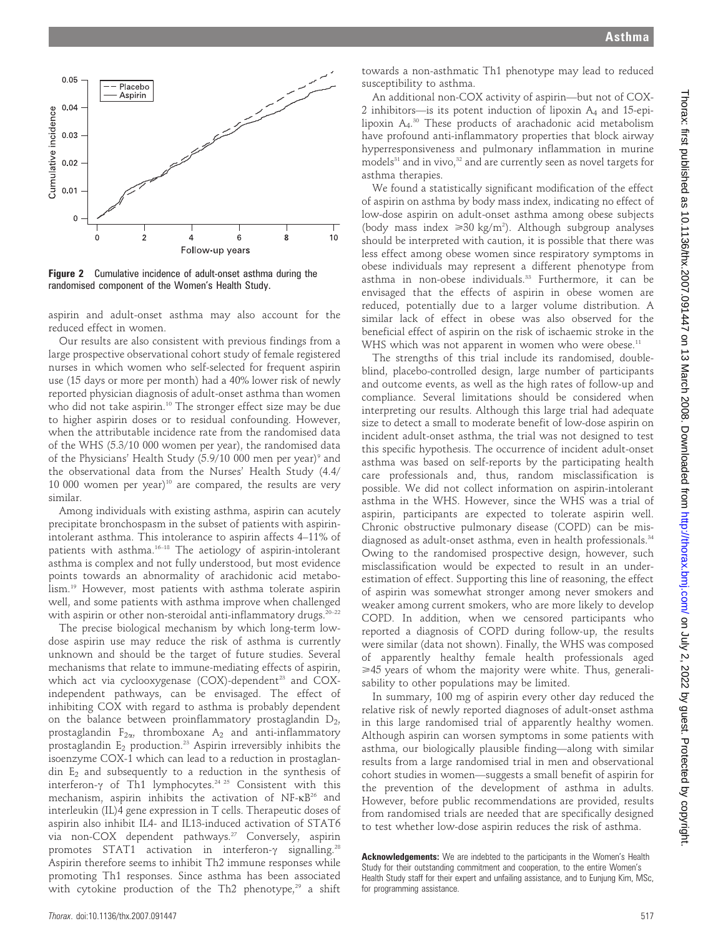



**Figure 2** Cumulative incidence of adult-onset asthma during the randomised component of the Women's Health Study.

aspirin and adult-onset asthma may also account for the reduced effect in women.

Our results are also consistent with previous findings from a large prospective observational cohort study of female registered nurses in which women who self-selected for frequent aspirin use (15 days or more per month) had a 40% lower risk of newly reported physician diagnosis of adult-onset asthma than women who did not take aspirin.<sup>10</sup> The stronger effect size may be due to higher aspirin doses or to residual confounding. However, when the attributable incidence rate from the randomised data of the WHS (5.3/10 000 women per year), the randomised data of the Physicians' Health Study (5.9/10 000 men per year)<sup>9</sup> and the observational data from the Nurses' Health Study (4.4/  $10\ 000$  women per year)<sup>10</sup> are compared, the results are very similar.

Among individuals with existing asthma, aspirin can acutely precipitate bronchospasm in the subset of patients with aspirinintolerant asthma. This intolerance to aspirin affects 4–11% of patients with asthma.16–18 The aetiology of aspirin-intolerant asthma is complex and not fully understood, but most evidence points towards an abnormality of arachidonic acid metabolism.19 However, most patients with asthma tolerate aspirin well, and some patients with asthma improve when challenged with aspirin or other non-steroidal anti-inflammatory drugs.<sup>20-22</sup>

The precise biological mechanism by which long-term lowdose aspirin use may reduce the risk of asthma is currently unknown and should be the target of future studies. Several mechanisms that relate to immune-mediating effects of aspirin, which act via cyclooxygenase (COX)-dependent<sup>23</sup> and COXindependent pathways, can be envisaged. The effect of inhibiting COX with regard to asthma is probably dependent on the balance between proinflammatory prostaglandin  $D_2$ , prostaglandin  $F_{2\alpha}$ , thromboxane  $A_2$  and anti-inflammatory prostaglandin  $E_2$  production.<sup>23</sup> Aspirin irreversibly inhibits the isoenzyme COX-1 which can lead to a reduction in prostaglandin  $E_2$  and subsequently to a reduction in the synthesis of interferon- $\gamma$  of Th1 lymphocytes.<sup>24 25</sup> Consistent with this mechanism, aspirin inhibits the activation of  $NF-\kappa B^{26}$  and interleukin (IL)4 gene expression in T cells. Therapeutic doses of aspirin also inhibit IL4- and IL13-induced activation of STAT6 via non-COX dependent pathways.<sup>27</sup> Conversely, aspirin promotes STAT1 activation in interferon- $\gamma$  signalling.<sup>28</sup> Aspirin therefore seems to inhibit Th2 immune responses while promoting Th1 responses. Since asthma has been associated with cytokine production of the Th2 phenotype, $29$  a shift

towards a non-asthmatic Th1 phenotype may lead to reduced susceptibility to asthma.

An additional non-COX activity of aspirin—but not of COX-2 inhibitors—is its potent induction of lipoxin  $A_4$  and 15-epilipoxin A4. <sup>30</sup> These products of arachadonic acid metabolism have profound anti-inflammatory properties that block airway hyperresponsiveness and pulmonary inflammation in murine models<sup>31</sup> and in vivo,<sup>32</sup> and are currently seen as novel targets for asthma therapies.

We found a statistically significant modification of the effect of aspirin on asthma by body mass index, indicating no effect of low-dose aspirin on adult-onset asthma among obese subjects (body mass index  $\geq 30 \text{ kg/m}^2$ ). Although subgroup analyses should be interpreted with caution, it is possible that there was less effect among obese women since respiratory symptoms in obese individuals may represent a different phenotype from asthma in non-obese individuals.33 Furthermore, it can be envisaged that the effects of aspirin in obese women are reduced, potentially due to a larger volume distribution. A similar lack of effect in obese was also observed for the beneficial effect of aspirin on the risk of ischaemic stroke in the WHS which was not apparent in women who were obese.<sup>11</sup>

The strengths of this trial include its randomised, doubleblind, placebo-controlled design, large number of participants and outcome events, as well as the high rates of follow-up and compliance. Several limitations should be considered when interpreting our results. Although this large trial had adequate size to detect a small to moderate benefit of low-dose aspirin on incident adult-onset asthma, the trial was not designed to test this specific hypothesis. The occurrence of incident adult-onset asthma was based on self-reports by the participating health care professionals and, thus, random misclassification is possible. We did not collect information on aspirin-intolerant asthma in the WHS. However, since the WHS was a trial of aspirin, participants are expected to tolerate aspirin well. Chronic obstructive pulmonary disease (COPD) can be misdiagnosed as adult-onset asthma, even in health professionals.<sup>34</sup> Owing to the randomised prospective design, however, such misclassification would be expected to result in an underestimation of effect. Supporting this line of reasoning, the effect of aspirin was somewhat stronger among never smokers and weaker among current smokers, who are more likely to develop COPD. In addition, when we censored participants who reported a diagnosis of COPD during follow-up, the results were similar (data not shown). Finally, the WHS was composed of apparently healthy female health professionals aged  $\geq$ 45 years of whom the majority were white. Thus, generalisability to other populations may be limited.

In summary, 100 mg of aspirin every other day reduced the relative risk of newly reported diagnoses of adult-onset asthma in this large randomised trial of apparently healthy women. Although aspirin can worsen symptoms in some patients with asthma, our biologically plausible finding—along with similar results from a large randomised trial in men and observational cohort studies in women—suggests a small benefit of aspirin for the prevention of the development of asthma in adults. However, before public recommendations are provided, results from randomised trials are needed that are specifically designed to test whether low-dose aspirin reduces the risk of asthma.

Acknowledgements: We are indebted to the participants in the Women's Health Study for their outstanding commitment and cooperation, to the entire Women's Health Study staff for their expert and unfailing assistance, and to Eunjung Kim, MSc, for programming assistance.